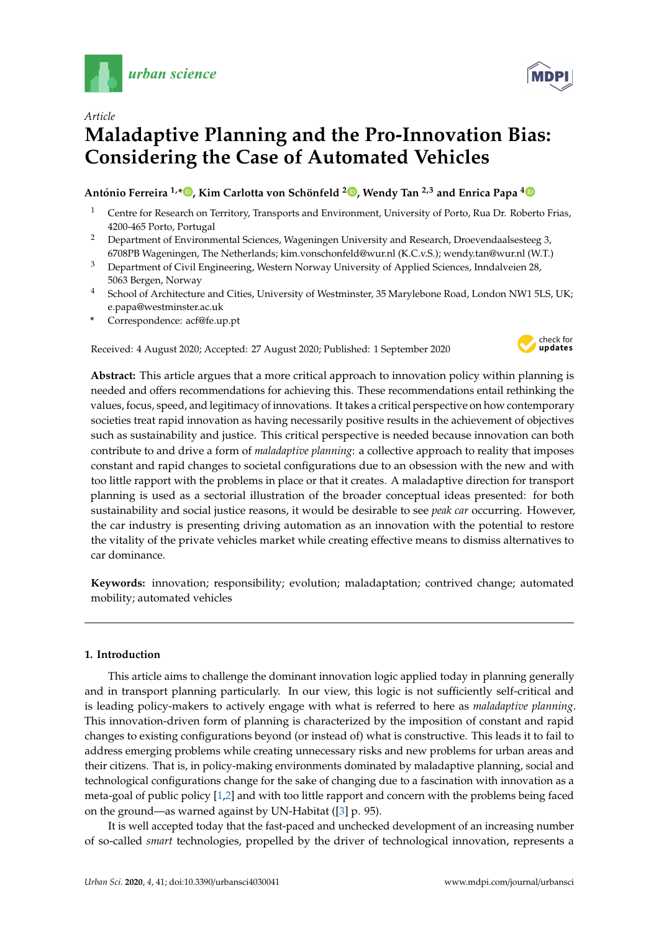



# *Article* **Maladaptive Planning and the Pro-Innovation Bias: Considering the Case of Automated Vehicles**

## **António Ferreira 1,[\\*](https://orcid.org/0000-0002-7004-6165) , Kim Carlotta von Schönfeld <sup>2</sup> [,](https://orcid.org/0000-0002-1166-0616) Wendy Tan 2,3 and Enrica Papa [4](https://orcid.org/0000-0003-2922-2443)**

- <sup>1</sup> Centre for Research on Territory, Transports and Environment, University of Porto, Rua Dr. Roberto Frias, 4200-465 Porto, Portugal
- <sup>2</sup> Department of Environmental Sciences, Wageningen University and Research, Droevendaalsesteeg 3, 6708PB Wageningen, The Netherlands; kim.vonschonfeld@wur.nl (K.C.v.S.); wendy.tan@wur.nl (W.T.)
- <sup>3</sup> Department of Civil Engineering, Western Norway University of Applied Sciences, Inndalveien 28, 5063 Bergen, Norway
- <sup>4</sup> School of Architecture and Cities, University of Westminster, 35 Marylebone Road, London NW1 5LS, UK; e.papa@westminster.ac.uk
- **\*** Correspondence: acf@fe.up.pt

Received: 4 August 2020; Accepted: 27 August 2020; Published: 1 September 2020



**Abstract:** This article argues that a more critical approach to innovation policy within planning is needed and offers recommendations for achieving this. These recommendations entail rethinking the values, focus, speed, and legitimacy of innovations. It takes a critical perspective on how contemporary societies treat rapid innovation as having necessarily positive results in the achievement of objectives such as sustainability and justice. This critical perspective is needed because innovation can both contribute to and drive a form of *maladaptive planning*: a collective approach to reality that imposes constant and rapid changes to societal configurations due to an obsession with the new and with too little rapport with the problems in place or that it creates. A maladaptive direction for transport planning is used as a sectorial illustration of the broader conceptual ideas presented: for both sustainability and social justice reasons, it would be desirable to see *peak car* occurring. However, the car industry is presenting driving automation as an innovation with the potential to restore the vitality of the private vehicles market while creating effective means to dismiss alternatives to car dominance.

**Keywords:** innovation; responsibility; evolution; maladaptation; contrived change; automated mobility; automated vehicles

### **1. Introduction**

This article aims to challenge the dominant innovation logic applied today in planning generally and in transport planning particularly. In our view, this logic is not sufficiently self-critical and is leading policy-makers to actively engage with what is referred to here as *maladaptive planning*. This innovation-driven form of planning is characterized by the imposition of constant and rapid changes to existing configurations beyond (or instead of) what is constructive. This leads it to fail to address emerging problems while creating unnecessary risks and new problems for urban areas and their citizens. That is, in policy-making environments dominated by maladaptive planning, social and technological configurations change for the sake of changing due to a fascination with innovation as a meta-goal of public policy [\[1](#page-12-0)[,2\]](#page-13-0) and with too little rapport and concern with the problems being faced on the ground—as warned against by UN-Habitat ([\[3\]](#page-13-1) p. 95).

It is well accepted today that the fast-paced and unchecked development of an increasing number of so-called *smart* technologies, propelled by the driver of technological innovation, represents a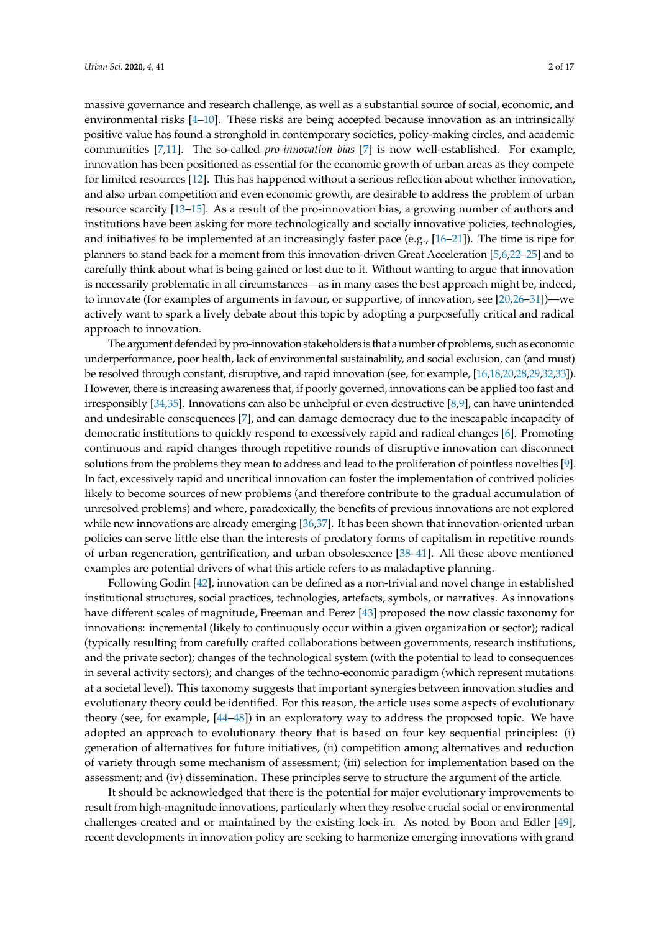massive governance and research challenge, as well as a substantial source of social, economic, and environmental risks [\[4–](#page-13-2)[10\]](#page-13-3). These risks are being accepted because innovation as an intrinsically positive value has found a stronghold in contemporary societies, policy-making circles, and academic communities [\[7](#page-13-4)[,11\]](#page-13-5). The so-called *pro-innovation bias* [\[7\]](#page-13-4) is now well-established. For example, innovation has been positioned as essential for the economic growth of urban areas as they compete for limited resources [\[12\]](#page-13-6). This has happened without a serious reflection about whether innovation, and also urban competition and even economic growth, are desirable to address the problem of urban resource scarcity [\[13–](#page-13-7)[15\]](#page-13-8). As a result of the pro-innovation bias, a growing number of authors and institutions have been asking for more technologically and socially innovative policies, technologies, and initiatives to be implemented at an increasingly faster pace (e.g.,  $[16-21]$  $[16-21]$ ). The time is ripe for planners to stand back for a moment from this innovation-driven Great Acceleration [\[5](#page-13-11)[,6](#page-13-12)[,22–](#page-13-13)[25\]](#page-13-14) and to carefully think about what is being gained or lost due to it. Without wanting to argue that innovation is necessarily problematic in all circumstances—as in many cases the best approach might be, indeed, to innovate (for examples of arguments in favour, or supportive, of innovation, see [\[20,](#page-13-15)[26–](#page-13-16)[31\]](#page-14-0))—we actively want to spark a lively debate about this topic by adopting a purposefully critical and radical approach to innovation.

The argument defended by pro-innovation stakeholdersis that a number of problems, such as economic underperformance, poor health, lack of environmental sustainability, and social exclusion, can (and must) be resolved through constant, disruptive, and rapid innovation (see, for example, [\[16,](#page-13-9)[18,](#page-13-17)[20](#page-13-15)[,28](#page-13-18)[,29](#page-13-19)[,32,](#page-14-1)[33\]](#page-14-2)). However, there is increasing awareness that, if poorly governed, innovations can be applied too fast and irresponsibly [\[34](#page-14-3)[,35\]](#page-14-4). Innovations can also be unhelpful or even destructive [\[8](#page-13-20)[,9\]](#page-13-21), can have unintended and undesirable consequences [\[7\]](#page-13-4), and can damage democracy due to the inescapable incapacity of democratic institutions to quickly respond to excessively rapid and radical changes [\[6\]](#page-13-12). Promoting continuous and rapid changes through repetitive rounds of disruptive innovation can disconnect solutions from the problems they mean to address and lead to the proliferation of pointless novelties [\[9\]](#page-13-21). In fact, excessively rapid and uncritical innovation can foster the implementation of contrived policies likely to become sources of new problems (and therefore contribute to the gradual accumulation of unresolved problems) and where, paradoxically, the benefits of previous innovations are not explored while new innovations are already emerging [\[36,](#page-14-5)[37\]](#page-14-6). It has been shown that innovation-oriented urban policies can serve little else than the interests of predatory forms of capitalism in repetitive rounds of urban regeneration, gentrification, and urban obsolescence [\[38](#page-14-7)[–41\]](#page-14-8). All these above mentioned examples are potential drivers of what this article refers to as maladaptive planning.

Following Godin [\[42\]](#page-14-9), innovation can be defined as a non-trivial and novel change in established institutional structures, social practices, technologies, artefacts, symbols, or narratives. As innovations have different scales of magnitude, Freeman and Perez [\[43\]](#page-14-10) proposed the now classic taxonomy for innovations: incremental (likely to continuously occur within a given organization or sector); radical (typically resulting from carefully crafted collaborations between governments, research institutions, and the private sector); changes of the technological system (with the potential to lead to consequences in several activity sectors); and changes of the techno-economic paradigm (which represent mutations at a societal level). This taxonomy suggests that important synergies between innovation studies and evolutionary theory could be identified. For this reason, the article uses some aspects of evolutionary theory (see, for example, [\[44](#page-14-11)[–48\]](#page-14-12)) in an exploratory way to address the proposed topic. We have adopted an approach to evolutionary theory that is based on four key sequential principles: (i) generation of alternatives for future initiatives, (ii) competition among alternatives and reduction of variety through some mechanism of assessment; (iii) selection for implementation based on the assessment; and (iv) dissemination. These principles serve to structure the argument of the article.

It should be acknowledged that there is the potential for major evolutionary improvements to result from high-magnitude innovations, particularly when they resolve crucial social or environmental challenges created and or maintained by the existing lock-in. As noted by Boon and Edler [\[49\]](#page-14-13), recent developments in innovation policy are seeking to harmonize emerging innovations with grand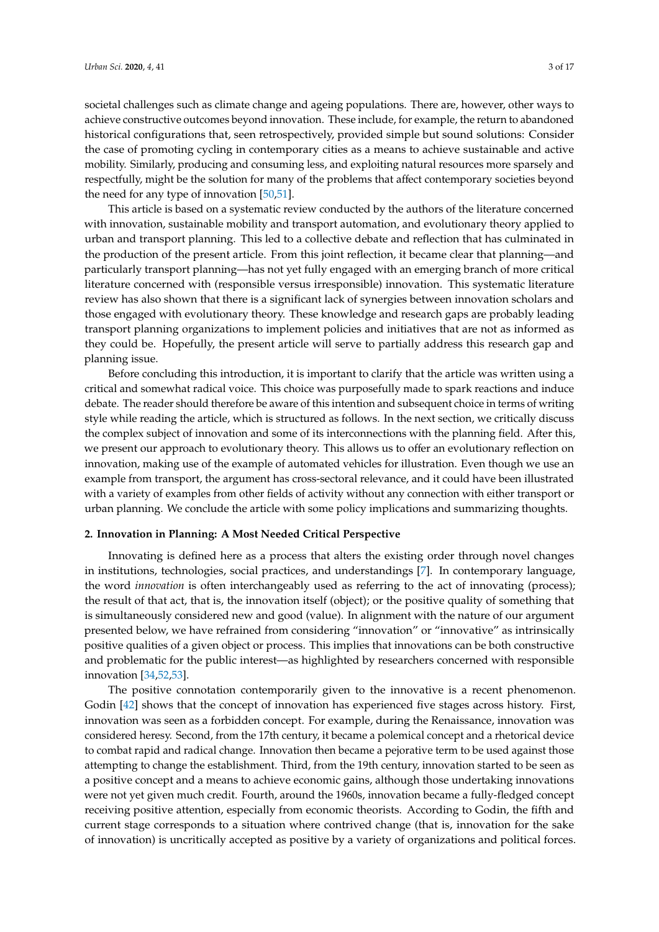the need for any type of innovation [\[50,](#page-14-14)[51\]](#page-14-15).

societal challenges such as climate change and ageing populations. There are, however, other ways to achieve constructive outcomes beyond innovation. These include, for example, the return to abandoned historical configurations that, seen retrospectively, provided simple but sound solutions: Consider the case of promoting cycling in contemporary cities as a means to achieve sustainable and active mobility. Similarly, producing and consuming less, and exploiting natural resources more sparsely and respectfully, might be the solution for many of the problems that affect contemporary societies beyond

This article is based on a systematic review conducted by the authors of the literature concerned with innovation, sustainable mobility and transport automation, and evolutionary theory applied to urban and transport planning. This led to a collective debate and reflection that has culminated in the production of the present article. From this joint reflection, it became clear that planning—and particularly transport planning—has not yet fully engaged with an emerging branch of more critical literature concerned with (responsible versus irresponsible) innovation. This systematic literature review has also shown that there is a significant lack of synergies between innovation scholars and those engaged with evolutionary theory. These knowledge and research gaps are probably leading transport planning organizations to implement policies and initiatives that are not as informed as they could be. Hopefully, the present article will serve to partially address this research gap and planning issue.

Before concluding this introduction, it is important to clarify that the article was written using a critical and somewhat radical voice. This choice was purposefully made to spark reactions and induce debate. The reader should therefore be aware of this intention and subsequent choice in terms of writing style while reading the article, which is structured as follows. In the next section, we critically discuss the complex subject of innovation and some of its interconnections with the planning field. After this, we present our approach to evolutionary theory. This allows us to offer an evolutionary reflection on innovation, making use of the example of automated vehicles for illustration. Even though we use an example from transport, the argument has cross-sectoral relevance, and it could have been illustrated with a variety of examples from other fields of activity without any connection with either transport or urban planning. We conclude the article with some policy implications and summarizing thoughts.

#### **2. Innovation in Planning: A Most Needed Critical Perspective**

Innovating is defined here as a process that alters the existing order through novel changes in institutions, technologies, social practices, and understandings [\[7\]](#page-13-4). In contemporary language, the word *innovation* is often interchangeably used as referring to the act of innovating (process); the result of that act, that is, the innovation itself (object); or the positive quality of something that is simultaneously considered new and good (value). In alignment with the nature of our argument presented below, we have refrained from considering "innovation" or "innovative" as intrinsically positive qualities of a given object or process. This implies that innovations can be both constructive and problematic for the public interest—as highlighted by researchers concerned with responsible innovation [\[34,](#page-14-3)[52,](#page-14-16)[53\]](#page-14-17).

The positive connotation contemporarily given to the innovative is a recent phenomenon. Godin [\[42\]](#page-14-9) shows that the concept of innovation has experienced five stages across history. First, innovation was seen as a forbidden concept. For example, during the Renaissance, innovation was considered heresy. Second, from the 17th century, it became a polemical concept and a rhetorical device to combat rapid and radical change. Innovation then became a pejorative term to be used against those attempting to change the establishment. Third, from the 19th century, innovation started to be seen as a positive concept and a means to achieve economic gains, although those undertaking innovations were not yet given much credit. Fourth, around the 1960s, innovation became a fully-fledged concept receiving positive attention, especially from economic theorists. According to Godin, the fifth and current stage corresponds to a situation where contrived change (that is, innovation for the sake of innovation) is uncritically accepted as positive by a variety of organizations and political forces.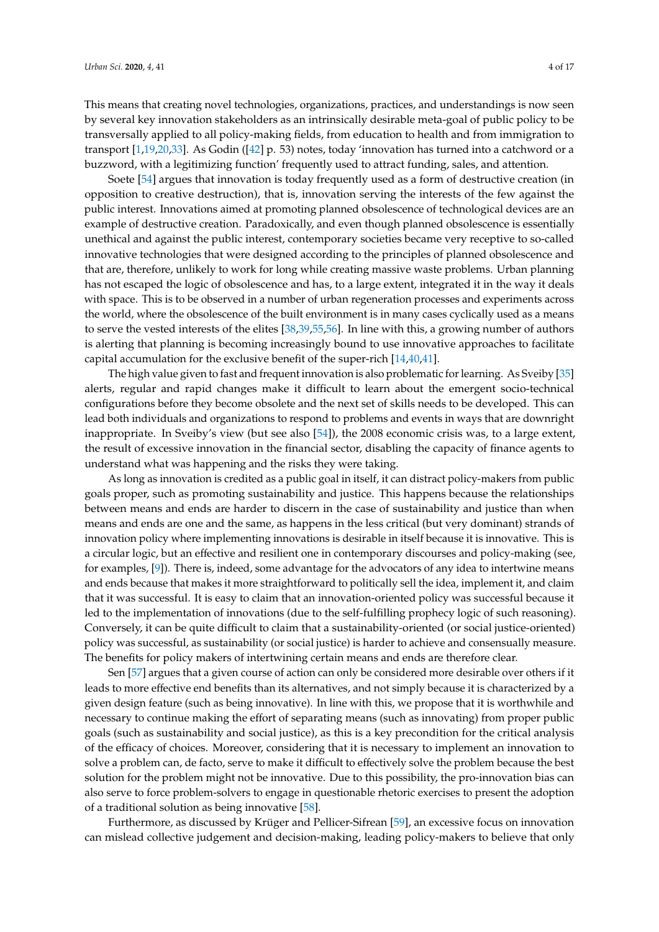This means that creating novel technologies, organizations, practices, and understandings is now seen by several key innovation stakeholders as an intrinsically desirable meta-goal of public policy to be transversally applied to all policy-making fields, from education to health and from immigration to transport [\[1,](#page-12-0)[19,](#page-13-22)[20,](#page-13-15)[33\]](#page-14-2). As Godin ([\[42\]](#page-14-9) p. 53) notes, today 'innovation has turned into a catchword or a buzzword, with a legitimizing function' frequently used to attract funding, sales, and attention.

Soete [\[54\]](#page-15-0) argues that innovation is today frequently used as a form of destructive creation (in opposition to creative destruction), that is, innovation serving the interests of the few against the public interest. Innovations aimed at promoting planned obsolescence of technological devices are an example of destructive creation. Paradoxically, and even though planned obsolescence is essentially unethical and against the public interest, contemporary societies became very receptive to so-called innovative technologies that were designed according to the principles of planned obsolescence and that are, therefore, unlikely to work for long while creating massive waste problems. Urban planning has not escaped the logic of obsolescence and has, to a large extent, integrated it in the way it deals with space. This is to be observed in a number of urban regeneration processes and experiments across the world, where the obsolescence of the built environment is in many cases cyclically used as a means to serve the vested interests of the elites [\[38](#page-14-7)[,39](#page-14-18)[,55](#page-15-1)[,56\]](#page-15-2). In line with this, a growing number of authors is alerting that planning is becoming increasingly bound to use innovative approaches to facilitate capital accumulation for the exclusive benefit of the super-rich [\[14,](#page-13-23)[40,](#page-14-19)[41\]](#page-14-8).

The high value given to fast and frequent innovation is also problematic for learning. As Sveiby [\[35\]](#page-14-4) alerts, regular and rapid changes make it difficult to learn about the emergent socio-technical configurations before they become obsolete and the next set of skills needs to be developed. This can lead both individuals and organizations to respond to problems and events in ways that are downright inappropriate. In Sveiby's view (but see also [\[54\]](#page-15-0)), the 2008 economic crisis was, to a large extent, the result of excessive innovation in the financial sector, disabling the capacity of finance agents to understand what was happening and the risks they were taking.

As long as innovation is credited as a public goal in itself, it can distract policy-makers from public goals proper, such as promoting sustainability and justice. This happens because the relationships between means and ends are harder to discern in the case of sustainability and justice than when means and ends are one and the same, as happens in the less critical (but very dominant) strands of innovation policy where implementing innovations is desirable in itself because it is innovative. This is a circular logic, but an effective and resilient one in contemporary discourses and policy-making (see, for examples, [\[9\]](#page-13-21)). There is, indeed, some advantage for the advocators of any idea to intertwine means and ends because that makes it more straightforward to politically sell the idea, implement it, and claim that it was successful. It is easy to claim that an innovation-oriented policy was successful because it led to the implementation of innovations (due to the self-fulfilling prophecy logic of such reasoning). Conversely, it can be quite difficult to claim that a sustainability-oriented (or social justice-oriented) policy was successful, as sustainability (or social justice) is harder to achieve and consensually measure. The benefits for policy makers of intertwining certain means and ends are therefore clear.

Sen [\[57\]](#page-15-3) argues that a given course of action can only be considered more desirable over others if it leads to more effective end benefits than its alternatives, and not simply because it is characterized by a given design feature (such as being innovative). In line with this, we propose that it is worthwhile and necessary to continue making the effort of separating means (such as innovating) from proper public goals (such as sustainability and social justice), as this is a key precondition for the critical analysis of the efficacy of choices. Moreover, considering that it is necessary to implement an innovation to solve a problem can, de facto, serve to make it difficult to effectively solve the problem because the best solution for the problem might not be innovative. Due to this possibility, the pro-innovation bias can also serve to force problem-solvers to engage in questionable rhetoric exercises to present the adoption of a traditional solution as being innovative [\[58\]](#page-15-4).

Furthermore, as discussed by Krüger and Pellicer-Sifrean [\[59\]](#page-15-5), an excessive focus on innovation can mislead collective judgement and decision-making, leading policy-makers to believe that only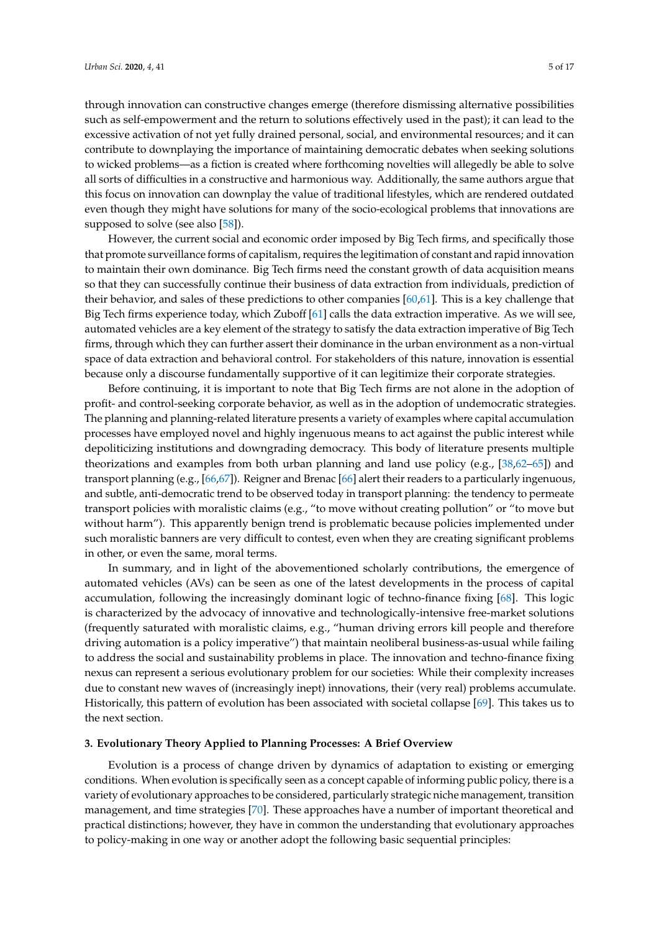through innovation can constructive changes emerge (therefore dismissing alternative possibilities such as self-empowerment and the return to solutions effectively used in the past); it can lead to the excessive activation of not yet fully drained personal, social, and environmental resources; and it can contribute to downplaying the importance of maintaining democratic debates when seeking solutions to wicked problems—as a fiction is created where forthcoming novelties will allegedly be able to solve all sorts of difficulties in a constructive and harmonious way. Additionally, the same authors argue that this focus on innovation can downplay the value of traditional lifestyles, which are rendered outdated even though they might have solutions for many of the socio-ecological problems that innovations are supposed to solve (see also [\[58\]](#page-15-4)).

However, the current social and economic order imposed by Big Tech firms, and specifically those that promote surveillance forms of capitalism, requires the legitimation of constant and rapid innovation to maintain their own dominance. Big Tech firms need the constant growth of data acquisition means so that they can successfully continue their business of data extraction from individuals, prediction of their behavior, and sales of these predictions to other companies [\[60,](#page-15-6)[61\]](#page-15-7). This is a key challenge that Big Tech firms experience today, which Zuboff [\[61\]](#page-15-7) calls the data extraction imperative. As we will see, automated vehicles are a key element of the strategy to satisfy the data extraction imperative of Big Tech firms, through which they can further assert their dominance in the urban environment as a non-virtual space of data extraction and behavioral control. For stakeholders of this nature, innovation is essential because only a discourse fundamentally supportive of it can legitimize their corporate strategies.

Before continuing, it is important to note that Big Tech firms are not alone in the adoption of profit- and control-seeking corporate behavior, as well as in the adoption of undemocratic strategies. The planning and planning-related literature presents a variety of examples where capital accumulation processes have employed novel and highly ingenuous means to act against the public interest while depoliticizing institutions and downgrading democracy. This body of literature presents multiple theorizations and examples from both urban planning and land use policy (e.g., [\[38,](#page-14-7)[62](#page-15-8)[–65\]](#page-15-9)) and transport planning (e.g., [\[66](#page-15-10)[,67\]](#page-15-11)). Reigner and Brenac [\[66\]](#page-15-10) alert their readers to a particularly ingenuous, and subtle, anti-democratic trend to be observed today in transport planning: the tendency to permeate transport policies with moralistic claims (e.g., "to move without creating pollution" or "to move but without harm"). This apparently benign trend is problematic because policies implemented under such moralistic banners are very difficult to contest, even when they are creating significant problems in other, or even the same, moral terms.

In summary, and in light of the abovementioned scholarly contributions, the emergence of automated vehicles (AVs) can be seen as one of the latest developments in the process of capital accumulation, following the increasingly dominant logic of techno-finance fixing [\[68\]](#page-15-12). This logic is characterized by the advocacy of innovative and technologically-intensive free-market solutions (frequently saturated with moralistic claims, e.g., "human driving errors kill people and therefore driving automation is a policy imperative") that maintain neoliberal business-as-usual while failing to address the social and sustainability problems in place. The innovation and techno-finance fixing nexus can represent a serious evolutionary problem for our societies: While their complexity increases due to constant new waves of (increasingly inept) innovations, their (very real) problems accumulate. Historically, this pattern of evolution has been associated with societal collapse [\[69\]](#page-15-13). This takes us to the next section.

#### **3. Evolutionary Theory Applied to Planning Processes: A Brief Overview**

Evolution is a process of change driven by dynamics of adaptation to existing or emerging conditions. When evolution is specifically seen as a concept capable of informing public policy, there is a variety of evolutionary approaches to be considered, particularly strategic niche management, transition management, and time strategies [\[70\]](#page-15-14). These approaches have a number of important theoretical and practical distinctions; however, they have in common the understanding that evolutionary approaches to policy-making in one way or another adopt the following basic sequential principles: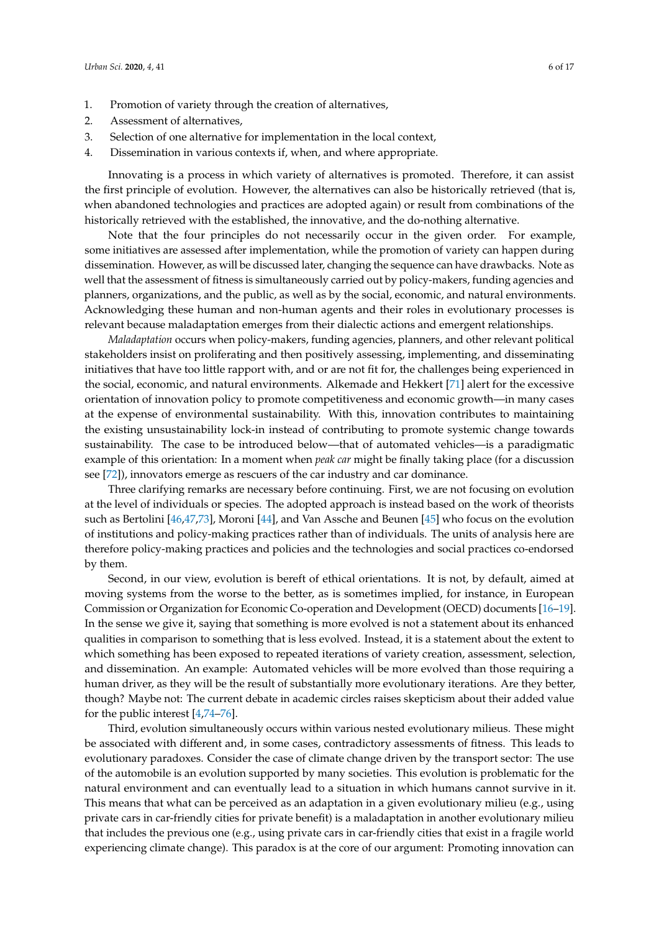- 1. Promotion of variety through the creation of alternatives,
- 2. Assessment of alternatives,
- 3. Selection of one alternative for implementation in the local context,
- 4. Dissemination in various contexts if, when, and where appropriate.

Innovating is a process in which variety of alternatives is promoted. Therefore, it can assist the first principle of evolution. However, the alternatives can also be historically retrieved (that is, when abandoned technologies and practices are adopted again) or result from combinations of the historically retrieved with the established, the innovative, and the do-nothing alternative.

Note that the four principles do not necessarily occur in the given order. For example, some initiatives are assessed after implementation, while the promotion of variety can happen during dissemination. However, as will be discussed later, changing the sequence can have drawbacks. Note as well that the assessment of fitness is simultaneously carried out by policy-makers, funding agencies and planners, organizations, and the public, as well as by the social, economic, and natural environments. Acknowledging these human and non-human agents and their roles in evolutionary processes is relevant because maladaptation emerges from their dialectic actions and emergent relationships.

*Maladaptation* occurs when policy-makers, funding agencies, planners, and other relevant political stakeholders insist on proliferating and then positively assessing, implementing, and disseminating initiatives that have too little rapport with, and or are not fit for, the challenges being experienced in the social, economic, and natural environments. Alkemade and Hekkert [\[71\]](#page-15-15) alert for the excessive orientation of innovation policy to promote competitiveness and economic growth—in many cases at the expense of environmental sustainability. With this, innovation contributes to maintaining the existing unsustainability lock-in instead of contributing to promote systemic change towards sustainability. The case to be introduced below—that of automated vehicles—is a paradigmatic example of this orientation: In a moment when *peak car* might be finally taking place (for a discussion see [\[72\]](#page-15-16)), innovators emerge as rescuers of the car industry and car dominance.

Three clarifying remarks are necessary before continuing. First, we are not focusing on evolution at the level of individuals or species. The adopted approach is instead based on the work of theorists such as Bertolini [\[46,](#page-14-20)[47](#page-14-21)[,73\]](#page-15-17), Moroni [\[44\]](#page-14-11), and Van Assche and Beunen [\[45\]](#page-14-22) who focus on the evolution of institutions and policy-making practices rather than of individuals. The units of analysis here are therefore policy-making practices and policies and the technologies and social practices co-endorsed by them.

Second, in our view, evolution is bereft of ethical orientations. It is not, by default, aimed at moving systems from the worse to the better, as is sometimes implied, for instance, in European Commission or Organization for Economic Co-operation and Development (OECD) documents [\[16–](#page-13-9)[19\]](#page-13-22). In the sense we give it, saying that something is more evolved is not a statement about its enhanced qualities in comparison to something that is less evolved. Instead, it is a statement about the extent to which something has been exposed to repeated iterations of variety creation, assessment, selection, and dissemination. An example: Automated vehicles will be more evolved than those requiring a human driver, as they will be the result of substantially more evolutionary iterations. Are they better, though? Maybe not: The current debate in academic circles raises skepticism about their added value for the public interest [\[4,](#page-13-2)[74](#page-15-18)[–76\]](#page-15-19).

Third, evolution simultaneously occurs within various nested evolutionary milieus. These might be associated with different and, in some cases, contradictory assessments of fitness. This leads to evolutionary paradoxes. Consider the case of climate change driven by the transport sector: The use of the automobile is an evolution supported by many societies. This evolution is problematic for the natural environment and can eventually lead to a situation in which humans cannot survive in it. This means that what can be perceived as an adaptation in a given evolutionary milieu (e.g., using private cars in car-friendly cities for private benefit) is a maladaptation in another evolutionary milieu that includes the previous one (e.g., using private cars in car-friendly cities that exist in a fragile world experiencing climate change). This paradox is at the core of our argument: Promoting innovation can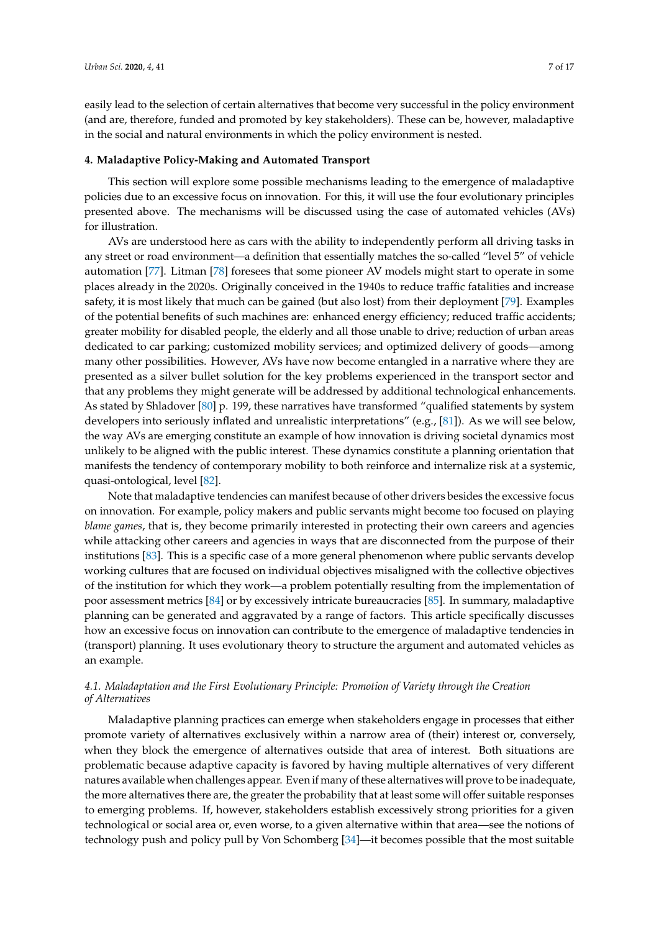easily lead to the selection of certain alternatives that become very successful in the policy environment (and are, therefore, funded and promoted by key stakeholders). These can be, however, maladaptive in the social and natural environments in which the policy environment is nested.

#### **4. Maladaptive Policy-Making and Automated Transport**

This section will explore some possible mechanisms leading to the emergence of maladaptive policies due to an excessive focus on innovation. For this, it will use the four evolutionary principles presented above. The mechanisms will be discussed using the case of automated vehicles (AVs) for illustration.

AVs are understood here as cars with the ability to independently perform all driving tasks in any street or road environment—a definition that essentially matches the so-called "level 5" of vehicle automation [\[77\]](#page-15-20). Litman [\[78\]](#page-15-21) foresees that some pioneer AV models might start to operate in some places already in the 2020s. Originally conceived in the 1940s to reduce traffic fatalities and increase safety, it is most likely that much can be gained (but also lost) from their deployment [\[79\]](#page-15-22). Examples of the potential benefits of such machines are: enhanced energy efficiency; reduced traffic accidents; greater mobility for disabled people, the elderly and all those unable to drive; reduction of urban areas dedicated to car parking; customized mobility services; and optimized delivery of goods—among many other possibilities. However, AVs have now become entangled in a narrative where they are presented as a silver bullet solution for the key problems experienced in the transport sector and that any problems they might generate will be addressed by additional technological enhancements. As stated by Shladover [\[80\]](#page-15-23) p. 199, these narratives have transformed "qualified statements by system developers into seriously inflated and unrealistic interpretations" (e.g., [\[81\]](#page-15-24)). As we will see below, the way AVs are emerging constitute an example of how innovation is driving societal dynamics most unlikely to be aligned with the public interest. These dynamics constitute a planning orientation that manifests the tendency of contemporary mobility to both reinforce and internalize risk at a systemic, quasi-ontological, level [\[82\]](#page-16-0).

Note that maladaptive tendencies can manifest because of other drivers besides the excessive focus on innovation. For example, policy makers and public servants might become too focused on playing *blame games*, that is, they become primarily interested in protecting their own careers and agencies while attacking other careers and agencies in ways that are disconnected from the purpose of their institutions [\[83\]](#page-16-1). This is a specific case of a more general phenomenon where public servants develop working cultures that are focused on individual objectives misaligned with the collective objectives of the institution for which they work—a problem potentially resulting from the implementation of poor assessment metrics [\[84\]](#page-16-2) or by excessively intricate bureaucracies [\[85\]](#page-16-3). In summary, maladaptive planning can be generated and aggravated by a range of factors. This article specifically discusses how an excessive focus on innovation can contribute to the emergence of maladaptive tendencies in (transport) planning. It uses evolutionary theory to structure the argument and automated vehicles as an example.

### *4.1. Maladaptation and the First Evolutionary Principle: Promotion of Variety through the Creation of Alternatives*

Maladaptive planning practices can emerge when stakeholders engage in processes that either promote variety of alternatives exclusively within a narrow area of (their) interest or, conversely, when they block the emergence of alternatives outside that area of interest. Both situations are problematic because adaptive capacity is favored by having multiple alternatives of very different natures available when challenges appear. Even if many of these alternatives will prove to be inadequate, the more alternatives there are, the greater the probability that at least some will offer suitable responses to emerging problems. If, however, stakeholders establish excessively strong priorities for a given technological or social area or, even worse, to a given alternative within that area—see the notions of technology push and policy pull by Von Schomberg [\[34\]](#page-14-3)—it becomes possible that the most suitable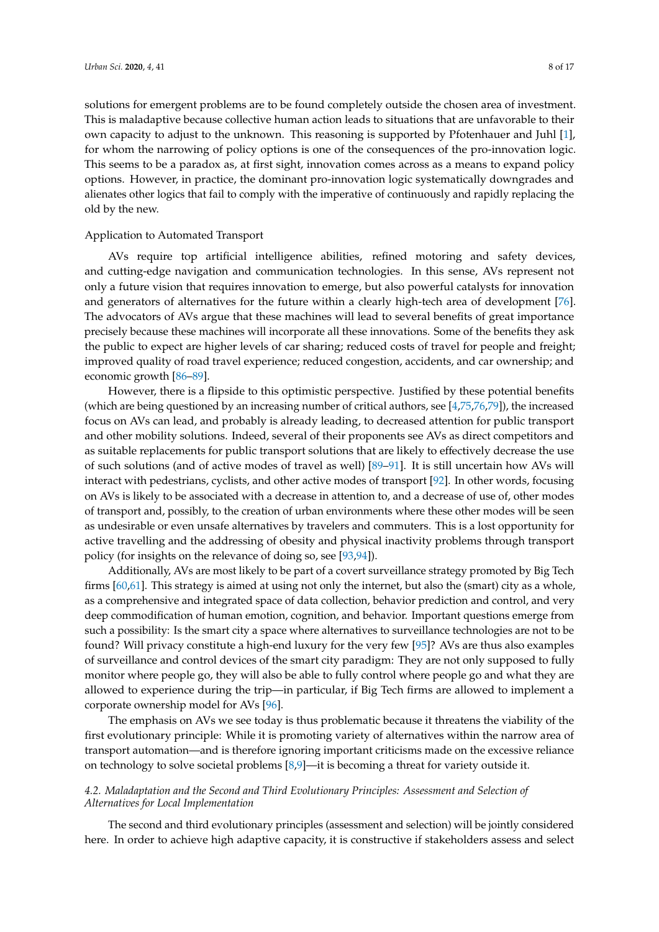solutions for emergent problems are to be found completely outside the chosen area of investment. This is maladaptive because collective human action leads to situations that are unfavorable to their own capacity to adjust to the unknown. This reasoning is supported by Pfotenhauer and Juhl [\[1\]](#page-12-0), for whom the narrowing of policy options is one of the consequences of the pro-innovation logic. This seems to be a paradox as, at first sight, innovation comes across as a means to expand policy options. However, in practice, the dominant pro-innovation logic systematically downgrades and alienates other logics that fail to comply with the imperative of continuously and rapidly replacing the old by the new.

#### Application to Automated Transport

AVs require top artificial intelligence abilities, refined motoring and safety devices, and cutting-edge navigation and communication technologies. In this sense, AVs represent not only a future vision that requires innovation to emerge, but also powerful catalysts for innovation and generators of alternatives for the future within a clearly high-tech area of development [\[76\]](#page-15-19). The advocators of AVs argue that these machines will lead to several benefits of great importance precisely because these machines will incorporate all these innovations. Some of the benefits they ask the public to expect are higher levels of car sharing; reduced costs of travel for people and freight; improved quality of road travel experience; reduced congestion, accidents, and car ownership; and economic growth [\[86–](#page-16-4)[89\]](#page-16-5).

However, there is a flipside to this optimistic perspective. Justified by these potential benefits (which are being questioned by an increasing number of critical authors, see [\[4,](#page-13-2)[75](#page-15-25)[,76](#page-15-19)[,79\]](#page-15-22)), the increased focus on AVs can lead, and probably is already leading, to decreased attention for public transport and other mobility solutions. Indeed, several of their proponents see AVs as direct competitors and as suitable replacements for public transport solutions that are likely to effectively decrease the use of such solutions (and of active modes of travel as well) [\[89](#page-16-5)[–91\]](#page-16-6). It is still uncertain how AVs will interact with pedestrians, cyclists, and other active modes of transport [\[92\]](#page-16-7). In other words, focusing on AVs is likely to be associated with a decrease in attention to, and a decrease of use of, other modes of transport and, possibly, to the creation of urban environments where these other modes will be seen as undesirable or even unsafe alternatives by travelers and commuters. This is a lost opportunity for active travelling and the addressing of obesity and physical inactivity problems through transport policy (for insights on the relevance of doing so, see [\[93,](#page-16-8)[94\]](#page-16-9)).

Additionally, AVs are most likely to be part of a covert surveillance strategy promoted by Big Tech firms [\[60](#page-15-6)[,61\]](#page-15-7). This strategy is aimed at using not only the internet, but also the (smart) city as a whole, as a comprehensive and integrated space of data collection, behavior prediction and control, and very deep commodification of human emotion, cognition, and behavior. Important questions emerge from such a possibility: Is the smart city a space where alternatives to surveillance technologies are not to be found? Will privacy constitute a high-end luxury for the very few [\[95\]](#page-16-10)? AVs are thus also examples of surveillance and control devices of the smart city paradigm: They are not only supposed to fully monitor where people go, they will also be able to fully control where people go and what they are allowed to experience during the trip—in particular, if Big Tech firms are allowed to implement a corporate ownership model for AVs [\[96\]](#page-16-11).

The emphasis on AVs we see today is thus problematic because it threatens the viability of the first evolutionary principle: While it is promoting variety of alternatives within the narrow area of transport automation—and is therefore ignoring important criticisms made on the excessive reliance on technology to solve societal problems  $[8,9]$  $[8,9]$ —it is becoming a threat for variety outside it.

#### *4.2. Maladaptation and the Second and Third Evolutionary Principles: Assessment and Selection of Alternatives for Local Implementation*

The second and third evolutionary principles (assessment and selection) will be jointly considered here. In order to achieve high adaptive capacity, it is constructive if stakeholders assess and select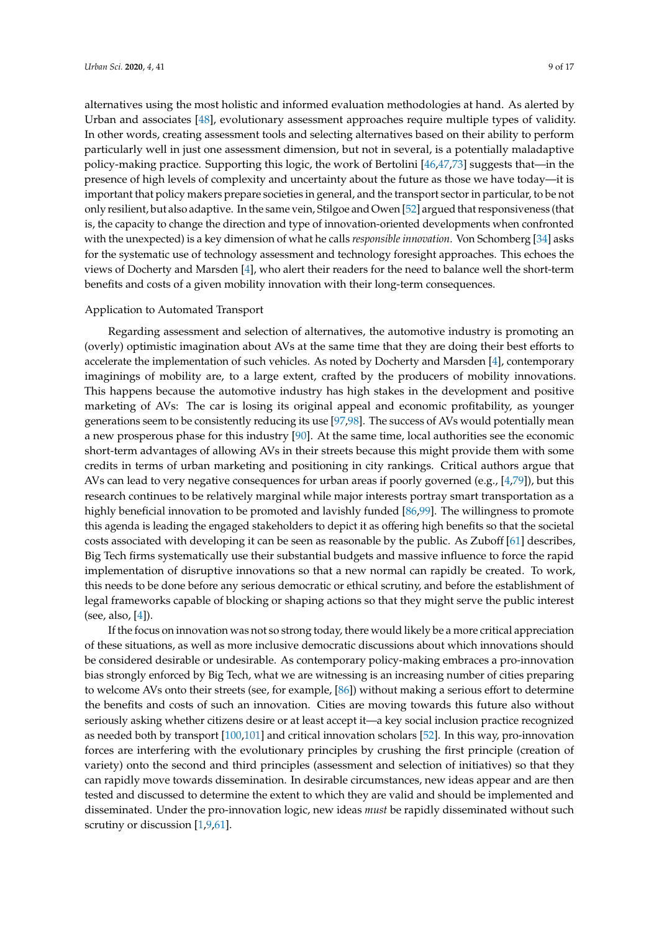alternatives using the most holistic and informed evaluation methodologies at hand. As alerted by Urban and associates [\[48\]](#page-14-12), evolutionary assessment approaches require multiple types of validity. In other words, creating assessment tools and selecting alternatives based on their ability to perform particularly well in just one assessment dimension, but not in several, is a potentially maladaptive policy-making practice. Supporting this logic, the work of Bertolini [\[46,](#page-14-20)[47,](#page-14-21)[73\]](#page-15-17) suggests that—in the presence of high levels of complexity and uncertainty about the future as those we have today—it is important that policy makers prepare societies in general, and the transport sector in particular, to be not only resilient, but also adaptive. In the same vein, Stilgoe and Owen [\[52\]](#page-14-16) argued that responsiveness (that is, the capacity to change the direction and type of innovation-oriented developments when confronted with the unexpected) is a key dimension of what he calls *responsible innovation*. Von Schomberg [\[34\]](#page-14-3) asks for the systematic use of technology assessment and technology foresight approaches. This echoes the views of Docherty and Marsden [\[4\]](#page-13-2), who alert their readers for the need to balance well the short-term benefits and costs of a given mobility innovation with their long-term consequences.

#### Application to Automated Transport

Regarding assessment and selection of alternatives, the automotive industry is promoting an (overly) optimistic imagination about AVs at the same time that they are doing their best efforts to accelerate the implementation of such vehicles. As noted by Docherty and Marsden [\[4\]](#page-13-2), contemporary imaginings of mobility are, to a large extent, crafted by the producers of mobility innovations. This happens because the automotive industry has high stakes in the development and positive marketing of AVs: The car is losing its original appeal and economic profitability, as younger generations seem to be consistently reducing its use [\[97](#page-16-12)[,98\]](#page-16-13). The success of AVs would potentially mean a new prosperous phase for this industry [\[90\]](#page-16-14). At the same time, local authorities see the economic short-term advantages of allowing AVs in their streets because this might provide them with some credits in terms of urban marketing and positioning in city rankings. Critical authors argue that AVs can lead to very negative consequences for urban areas if poorly governed (e.g., [\[4](#page-13-2)[,79\]](#page-15-22)), but this research continues to be relatively marginal while major interests portray smart transportation as a highly beneficial innovation to be promoted and lavishly funded [\[86,](#page-16-4)[99\]](#page-16-15). The willingness to promote this agenda is leading the engaged stakeholders to depict it as offering high benefits so that the societal costs associated with developing it can be seen as reasonable by the public. As Zuboff [\[61\]](#page-15-7) describes, Big Tech firms systematically use their substantial budgets and massive influence to force the rapid implementation of disruptive innovations so that a new normal can rapidly be created. To work, this needs to be done before any serious democratic or ethical scrutiny, and before the establishment of legal frameworks capable of blocking or shaping actions so that they might serve the public interest (see, also, [\[4\]](#page-13-2)).

If the focus on innovation was not so strong today, there would likely be a more critical appreciation of these situations, as well as more inclusive democratic discussions about which innovations should be considered desirable or undesirable. As contemporary policy-making embraces a pro-innovation bias strongly enforced by Big Tech, what we are witnessing is an increasing number of cities preparing to welcome AVs onto their streets (see, for example, [\[86\]](#page-16-4)) without making a serious effort to determine the benefits and costs of such an innovation. Cities are moving towards this future also without seriously asking whether citizens desire or at least accept it—a key social inclusion practice recognized as needed both by transport [\[100,](#page-16-16)[101\]](#page-16-17) and critical innovation scholars [\[52\]](#page-14-16). In this way, pro-innovation forces are interfering with the evolutionary principles by crushing the first principle (creation of variety) onto the second and third principles (assessment and selection of initiatives) so that they can rapidly move towards dissemination. In desirable circumstances, new ideas appear and are then tested and discussed to determine the extent to which they are valid and should be implemented and disseminated. Under the pro-innovation logic, new ideas *must* be rapidly disseminated without such scrutiny or discussion [\[1](#page-12-0)[,9](#page-13-21)[,61\]](#page-15-7).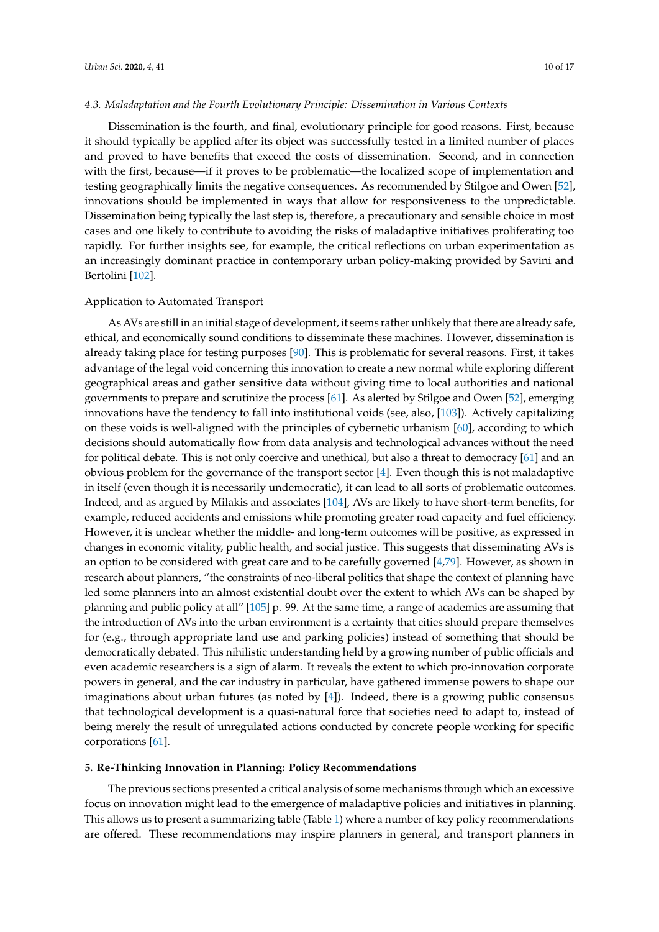#### *4.3. Maladaptation and the Fourth Evolutionary Principle: Dissemination in Various Contexts*

Dissemination is the fourth, and final, evolutionary principle for good reasons. First, because it should typically be applied after its object was successfully tested in a limited number of places and proved to have benefits that exceed the costs of dissemination. Second, and in connection with the first, because—if it proves to be problematic—the localized scope of implementation and testing geographically limits the negative consequences. As recommended by Stilgoe and Owen [\[52\]](#page-14-16), innovations should be implemented in ways that allow for responsiveness to the unpredictable. Dissemination being typically the last step is, therefore, a precautionary and sensible choice in most cases and one likely to contribute to avoiding the risks of maladaptive initiatives proliferating too rapidly. For further insights see, for example, the critical reflections on urban experimentation as an increasingly dominant practice in contemporary urban policy-making provided by Savini and Bertolini [\[102\]](#page-16-18).

#### Application to Automated Transport

As AVs are still in an initial stage of development, it seems rather unlikely that there are already safe, ethical, and economically sound conditions to disseminate these machines. However, dissemination is already taking place for testing purposes [\[90\]](#page-16-14). This is problematic for several reasons. First, it takes advantage of the legal void concerning this innovation to create a new normal while exploring different geographical areas and gather sensitive data without giving time to local authorities and national governments to prepare and scrutinize the process [\[61\]](#page-15-7). As alerted by Stilgoe and Owen [\[52\]](#page-14-16), emerging innovations have the tendency to fall into institutional voids (see, also, [\[103\]](#page-16-19)). Actively capitalizing on these voids is well-aligned with the principles of cybernetic urbanism [\[60\]](#page-15-6), according to which decisions should automatically flow from data analysis and technological advances without the need for political debate. This is not only coercive and unethical, but also a threat to democracy [\[61\]](#page-15-7) and an obvious problem for the governance of the transport sector [\[4\]](#page-13-2). Even though this is not maladaptive in itself (even though it is necessarily undemocratic), it can lead to all sorts of problematic outcomes. Indeed, and as argued by Milakis and associates [\[104\]](#page-16-20), AVs are likely to have short-term benefits, for example, reduced accidents and emissions while promoting greater road capacity and fuel efficiency. However, it is unclear whether the middle- and long-term outcomes will be positive, as expressed in changes in economic vitality, public health, and social justice. This suggests that disseminating AVs is an option to be considered with great care and to be carefully governed [\[4,](#page-13-2)[79\]](#page-15-22). However, as shown in research about planners, "the constraints of neo-liberal politics that shape the context of planning have led some planners into an almost existential doubt over the extent to which AVs can be shaped by planning and public policy at all" [\[105\]](#page-16-21) p. 99. At the same time, a range of academics are assuming that the introduction of AVs into the urban environment is a certainty that cities should prepare themselves for (e.g., through appropriate land use and parking policies) instead of something that should be democratically debated. This nihilistic understanding held by a growing number of public officials and even academic researchers is a sign of alarm. It reveals the extent to which pro-innovation corporate powers in general, and the car industry in particular, have gathered immense powers to shape our imaginations about urban futures (as noted by  $[4]$ ). Indeed, there is a growing public consensus that technological development is a quasi-natural force that societies need to adapt to, instead of being merely the result of unregulated actions conducted by concrete people working for specific corporations [\[61\]](#page-15-7).

#### **5. Re-Thinking Innovation in Planning: Policy Recommendations**

The previous sections presented a critical analysis of some mechanisms through which an excessive focus on innovation might lead to the emergence of maladaptive policies and initiatives in planning. This allows us to present a summarizing table (Table [1\)](#page-11-0) where a number of key policy recommendations are offered. These recommendations may inspire planners in general, and transport planners in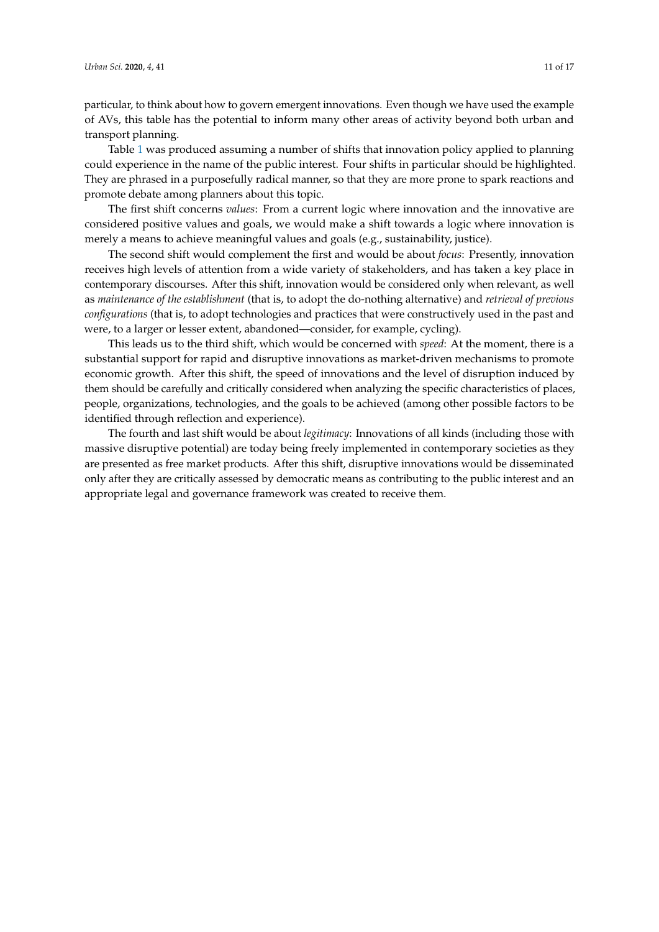Table [1](#page-11-0) was produced assuming a number of shifts that innovation policy applied to planning could experience in the name of the public interest. Four shifts in particular should be highlighted. They are phrased in a purposefully radical manner, so that they are more prone to spark reactions and promote debate among planners about this topic.

The first shift concerns *values*: From a current logic where innovation and the innovative are considered positive values and goals, we would make a shift towards a logic where innovation is merely a means to achieve meaningful values and goals (e.g., sustainability, justice).

The second shift would complement the first and would be about *focus*: Presently, innovation receives high levels of attention from a wide variety of stakeholders, and has taken a key place in contemporary discourses. After this shift, innovation would be considered only when relevant, as well as *maintenance of the establishment* (that is, to adopt the do-nothing alternative) and *retrieval of previous configurations* (that is, to adopt technologies and practices that were constructively used in the past and were, to a larger or lesser extent, abandoned—consider, for example, cycling).

This leads us to the third shift, which would be concerned with *speed*: At the moment, there is a substantial support for rapid and disruptive innovations as market-driven mechanisms to promote economic growth. After this shift, the speed of innovations and the level of disruption induced by them should be carefully and critically considered when analyzing the specific characteristics of places, people, organizations, technologies, and the goals to be achieved (among other possible factors to be identified through reflection and experience).

The fourth and last shift would be about *legitimacy*: Innovations of all kinds (including those with massive disruptive potential) are today being freely implemented in contemporary societies as they are presented as free market products. After this shift, disruptive innovations would be disseminated only after they are critically assessed by democratic means as contributing to the public interest and an appropriate legal and governance framework was created to receive them.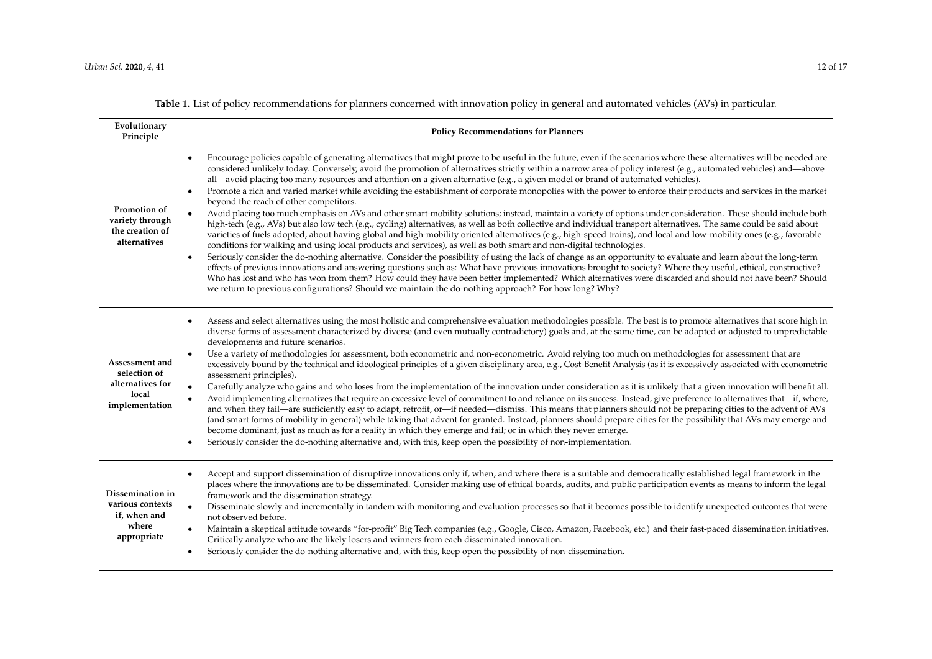<span id="page-11-0"></span>

| Evolutionary<br>Principle                                                     | <b>Policy Recommendations for Planners</b>                                                                                                                                                                                                                                                                                                                                                                                                                                                                                                                                                                                                                                                                                                                                                                                                                                                                                                                                                                                                                                                                                                                                                                                                                                                                                                                                                                                                                                                                                                                                                                                                                                                                                                                                                                                                                                                                                                                       |
|-------------------------------------------------------------------------------|------------------------------------------------------------------------------------------------------------------------------------------------------------------------------------------------------------------------------------------------------------------------------------------------------------------------------------------------------------------------------------------------------------------------------------------------------------------------------------------------------------------------------------------------------------------------------------------------------------------------------------------------------------------------------------------------------------------------------------------------------------------------------------------------------------------------------------------------------------------------------------------------------------------------------------------------------------------------------------------------------------------------------------------------------------------------------------------------------------------------------------------------------------------------------------------------------------------------------------------------------------------------------------------------------------------------------------------------------------------------------------------------------------------------------------------------------------------------------------------------------------------------------------------------------------------------------------------------------------------------------------------------------------------------------------------------------------------------------------------------------------------------------------------------------------------------------------------------------------------------------------------------------------------------------------------------------------------|
| Promotion of<br>variety through<br>the creation of<br>alternatives            | Encourage policies capable of generating alternatives that might prove to be useful in the future, even if the scenarios where these alternatives will be needed are<br>$\bullet$<br>considered unlikely today. Conversely, avoid the promotion of alternatives strictly within a narrow area of policy interest (e.g., automated vehicles) and—above<br>all—avoid placing too many resources and attention on a given alternative (e.g., a given model or brand of automated vehicles).<br>Promote a rich and varied market while avoiding the establishment of corporate monopolies with the power to enforce their products and services in the market<br>$\bullet$<br>beyond the reach of other competitors.<br>Avoid placing too much emphasis on AVs and other smart-mobility solutions; instead, maintain a variety of options under consideration. These should include both<br>high-tech (e.g., AVs) but also low tech (e.g., cycling) alternatives, as well as both collective and individual transport alternatives. The same could be said about<br>varieties of fuels adopted, about having global and high-mobility oriented alternatives (e.g., high-speed trains), and local and low-mobility ones (e.g., favorable<br>conditions for walking and using local products and services), as well as both smart and non-digital technologies.<br>Seriously consider the do-nothing alternative. Consider the possibility of using the lack of change as an opportunity to evaluate and learn about the long-term<br>effects of previous innovations and answering questions such as: What have previous innovations brought to society? Where they useful, ethical, constructive?<br>Who has lost and who has won from them? How could they have been better implemented? Which alternatives were discarded and should not have been? Should<br>we return to previous configurations? Should we maintain the do-nothing approach? For how long? Why? |
| Assessment and<br>selection of<br>alternatives for<br>local<br>implementation | Assess and select alternatives using the most holistic and comprehensive evaluation methodologies possible. The best is to promote alternatives that score high in<br>٠<br>diverse forms of assessment characterized by diverse (and even mutually contradictory) goals and, at the same time, can be adapted or adjusted to unpredictable<br>developments and future scenarios.<br>Use a variety of methodologies for assessment, both econometric and non-econometric. Avoid relying too much on methodologies for assessment that are<br>excessively bound by the technical and ideological principles of a given disciplinary area, e.g., Cost-Benefit Analysis (as it is excessively associated with econometric<br>assessment principles).<br>Carefully analyze who gains and who loses from the implementation of the innovation under consideration as it is unlikely that a given innovation will benefit all.<br>Avoid implementing alternatives that require an excessive level of commitment to and reliance on its success. Instead, give preference to alternatives that-if, where,<br>and when they fail—are sufficiently easy to adapt, retrofit, or—if needed—dismiss. This means that planners should not be preparing cities to the advent of AVs<br>(and smart forms of mobility in general) while taking that advent for granted. Instead, planners should prepare cities for the possibility that AVs may emerge and<br>become dominant, just as much as for a reality in which they emerge and fail; or in which they never emerge.<br>Seriously consider the do-nothing alternative and, with this, keep open the possibility of non-implementation.<br>$\bullet$                                                                                                                                                                                                                                                                        |
| Dissemination in<br>various contexts<br>if, when and<br>where<br>appropriate  | Accept and support dissemination of disruptive innovations only if, when, and where there is a suitable and democratically established legal framework in the<br>$\bullet$<br>places where the innovations are to be disseminated. Consider making use of ethical boards, audits, and public participation events as means to inform the legal<br>framework and the dissemination strategy.<br>Disseminate slowly and incrementally in tandem with monitoring and evaluation processes so that it becomes possible to identify unexpected outcomes that were<br>not observed before.<br>Maintain a skeptical attitude towards "for-profit" Big Tech companies (e.g., Google, Cisco, Amazon, Facebook, etc.) and their fast-paced dissemination initiatives.<br>Critically analyze who are the likely losers and winners from each disseminated innovation.<br>Seriously consider the do-nothing alternative and, with this, keep open the possibility of non-dissemination.<br>$\bullet$                                                                                                                                                                                                                                                                                                                                                                                                                                                                                                                                                                                                                                                                                                                                                                                                                                                                                                                                                                         |

**Table 1.** List of policy recommendations for planners concerned with innovation policy in general and automated vehicles (AVs) in particular.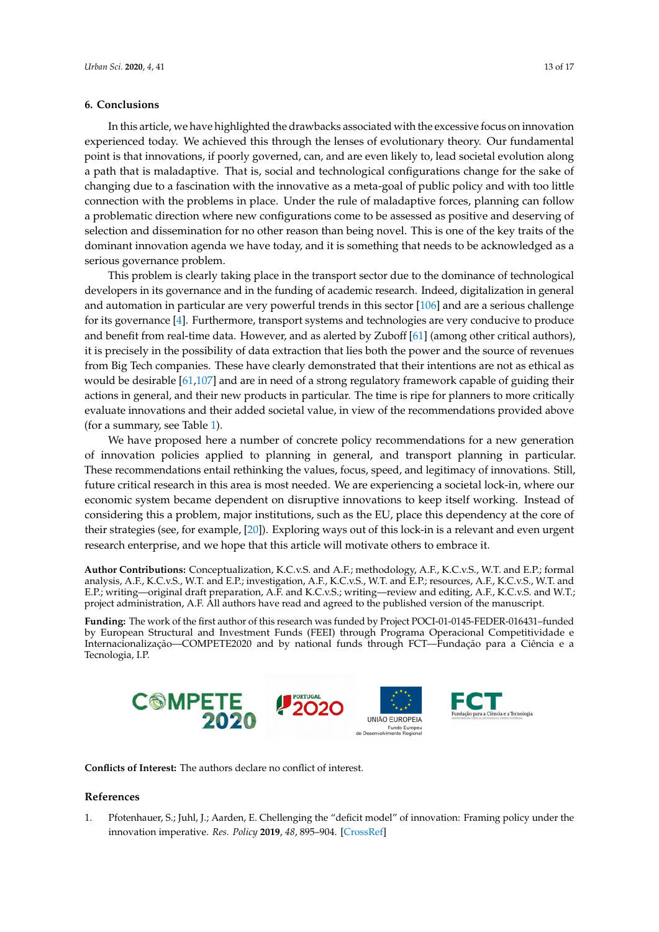#### **6. Conclusions**  $\mathbf{I}$  in this article, we have highlighted the drawbacks associated with the excessive focus on  $\mathbf{I}$

In this article, we have highlighted the drawbacks associated with the excessive focus on innovation experienced today. We achieved this through the lenses of evolutionary theory. Our fundamental point is that innovations, if poorly governed, can, and are even likely to, lead societal evolution along point a path that is maladaptive. That is, social and technological configurations change for the sake of changing due to a fascination with the innovative as a meta-goal of public policy and with too little connection with the problems in place. Under the rule of maladaptive forces, planning can follow a problematic direction where new configurations come to be assessed as positive and deserving of the proceduring innovation there is the dominant of the content of the procedure procedure and dissemination for no other reason than being novel. This is one of the key traits of the dominant innovation agenda we have today, and it is something that needs to be acknowledged as a serious governance problem. serious governance problem.  $\frac{1}{2}$  corresponds problem is clearly taking place in the transport sector due to the dominance of technological due to the dominance of technological due to the dominance of the dominance of the dominance of the domin

This problem is clearly taking place in the transport sector due to the dominance of technological developers in its governance and in the funding of academic research. Indeed, digitalization in general and automation in particular are very powerful trends in this sector [\[106\]](#page-16-22) and are a serious challenge for its governance [\[4\]](#page-13-2). Furthermore, transport systems and technologies are very conducive to produce and benefit from real-time data. However, and as alerted by Zuboff [\[61\]](#page-15-7) (among other critical authors), it is precisely in the possibility of data extraction that lies both the power and the source of revenues it is precisely in the possibility of data extraction that lies both the power and the source of revenues From Big Tech companies. These have clearly demonstrated that their intentions are not as ethical as from Big Tech companies. These have clearly demonstrated that their intentions are not as ethical as rion, signed companies. These name enearly administrated and their interneties are not as entitled as<br>would be desirable [\[61](#page-15-7)[,107\]](#page-16-23) and are in need of a strong regulatory framework capable of guiding their next is a decrease perfect of the intriced or a strong regalatory ritation one capacitor of garangement actions in general, and their new products in particular. The time is ripe for planners to more critically evaluate innovations and their added societal value, in view of the recommendations provided above evaluate innovations and their added societal value, in view of the recommendations provided above (for a summary, see Table [1\)](#page-11-0). We have proposed the anumber of concrete policy recommendations for a new generation of the second the second the second the second the second the second the second the second the second the second the second the second th

In the summary, see Taste 1, i.e. a summary, see Taste 1, i.e.  $\alpha$  and transport policy recommendations for a new generation. recommendation policies applied to planning in general, and transport planning in particular. These recommendations entail rethinking the values, focus, speed, and legitimacy of innovations. Still, Future critical research in this area is most needed. We are experiencing a societal lock-in, where our future critical research in this area is most needed. We are experiencing a societal lock-in, where our economic system became dependent on disruptive innovations to keep itself working. Instead of considering this a problem, major institutions, such as the EU, place this dependency at the core of considering this a problem, major institutions, such as the EU, place this dependency at the core of their strategies (see, for example, [\[20\]](#page-13-15)). Exploring ways out of this lock-in is a relevant and even urgent their strategies (see, for example, [20]). Exploring ways out of this lock-in is a relevant and even urgent research enterprise, and we hope that this article will motivate others to embrace it.

Author Contributions: Conceptualization, K.C.v.S. and A.F.; methodology, A.F., K.C.v.S., W.T. and E.P.; formal analysis, A.F., K.C.v.S., W.T. and E.P.; investigation, A.F., K.C.v.S., W.T. and E.P.; resources, A.F., K.C.v.S., W.T. and E.P.; writing—original draft preparation, A.F. and K.C.v.S.; writing—review and editing, A.F., K.C.v.S. and W.T.; project administration, A.F. All authors have read and agreed to the published version of the manuscript.

Funding: The work of the first author of this research was funded by Project POCI-01-0145-FEDER-016431-funded by European Structural and Investment Funds (FEEI) through Programa Operacional Competitividade e funded by European Structural and Investment Funds (FEEI) through Programa Operacional Competitividade Internacionalização—COMPETE2020 and by national funds through FCT—Fundação para a Ciência e a e Internacionalização—COMPETE2020 and by national funds through FCT—Fundação para a Ciência e a Tecnologia, I.P. Tecnologia, I.P.



**Conflicts of Interest:** The authors declare no conflict of interest.

#### 1. Pfotenhauer, S.; Juhl, J.; Aarden, E. Chellenging the "deficit model" of innovation: Framing policy under **References**

<span id="page-12-0"></span>1. Pfotenhauer, S.; Juhl, J.; Aarden, E. Chellenging the "deficit model" of innovation: Framing policy under the innovation imperative. *Res. Policy* **2019**, *48*, 895–904. [\[CrossRef\]](http://dx.doi.org/10.1016/j.respol.2018.10.015)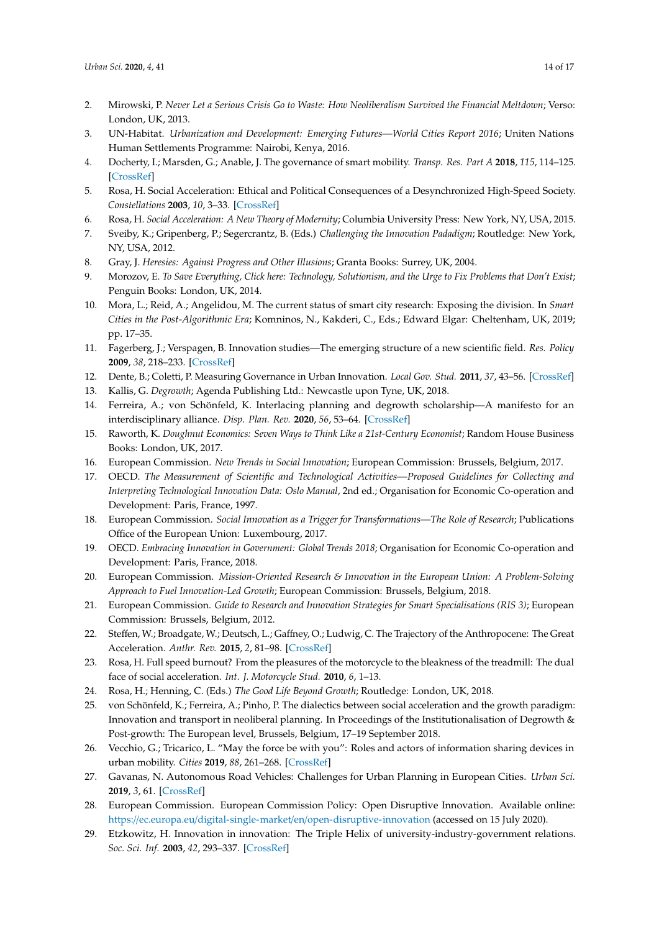- <span id="page-13-0"></span>2. Mirowski, P. *Never Let a Serious Crisis Go to Waste: How Neoliberalism Survived the Financial Meltdown*; Verso: London, UK, 2013.
- <span id="page-13-1"></span>3. UN-Habitat. *Urbanization and Development: Emerging Futures—World Cities Report 2016*; Uniten Nations Human Settlements Programme: Nairobi, Kenya, 2016.
- <span id="page-13-2"></span>4. Docherty, I.; Marsden, G.; Anable, J. The governance of smart mobility. *Transp. Res. Part A* **2018**, *115*, 114–125. [\[CrossRef\]](http://dx.doi.org/10.1016/j.tra.2017.09.012)
- <span id="page-13-11"></span>5. Rosa, H. Social Acceleration: Ethical and Political Consequences of a Desynchronized High-Speed Society. *Constellations* **2003**, *10*, 3–33. [\[CrossRef\]](http://dx.doi.org/10.1111/1467-8675.00309)
- <span id="page-13-12"></span>6. Rosa, H. *Social Acceleration: A New Theory of Modernity*; Columbia University Press: New York, NY, USA, 2015.
- <span id="page-13-4"></span>7. Sveiby, K.; Gripenberg, P.; Segercrantz, B. (Eds.) *Challenging the Innovation Padadigm*; Routledge: New York, NY, USA, 2012.
- <span id="page-13-20"></span>8. Gray, J. *Heresies: Against Progress and Other Illusions*; Granta Books: Surrey, UK, 2004.
- <span id="page-13-21"></span>9. Morozov, E. *To Save Everything, Click here: Technology, Solutionism, and the Urge to Fix Problems that Don't Exist*; Penguin Books: London, UK, 2014.
- <span id="page-13-3"></span>10. Mora, L.; Reid, A.; Angelidou, M. The current status of smart city research: Exposing the division. In *Smart Cities in the Post-Algorithmic Era*; Komninos, N., Kakderi, C., Eds.; Edward Elgar: Cheltenham, UK, 2019; pp. 17–35.
- <span id="page-13-5"></span>11. Fagerberg, J.; Verspagen, B. Innovation studies—The emerging structure of a new scientific field. *Res. Policy* **2009**, *38*, 218–233. [\[CrossRef\]](http://dx.doi.org/10.1016/j.respol.2008.12.006)
- <span id="page-13-6"></span>12. Dente, B.; Coletti, P. Measuring Governance in Urban Innovation. *Local Gov. Stud.* **2011**, *37*, 43–56. [\[CrossRef\]](http://dx.doi.org/10.1080/03003930.2010.548553)
- <span id="page-13-7"></span>13. Kallis, G. *Degrowth*; Agenda Publishing Ltd.: Newcastle upon Tyne, UK, 2018.
- <span id="page-13-23"></span>14. Ferreira, A.; von Schönfeld, K. Interlacing planning and degrowth scholarship—A manifesto for an interdisciplinary alliance. *Disp. Plan. Rev.* **2020**, *56*, 53–64. [\[CrossRef\]](http://dx.doi.org/10.1080/02513625.2020.1756633)
- <span id="page-13-8"></span>15. Raworth, K. *Doughnut Economics: Seven Ways to Think Like a 21st-Century Economist*; Random House Business Books: London, UK, 2017.
- <span id="page-13-9"></span>16. European Commission. *New Trends in Social Innovation*; European Commission: Brussels, Belgium, 2017.
- 17. OECD. *The Measurement of Scientific and Technological Activities—Proposed Guidelines for Collecting and Interpreting Technological Innovation Data: Oslo Manual*, 2nd ed.; Organisation for Economic Co-operation and Development: Paris, France, 1997.
- <span id="page-13-17"></span>18. European Commission. *Social Innovation as a Trigger for Transformations—The Role of Research*; Publications Office of the European Union: Luxembourg, 2017.
- <span id="page-13-22"></span>19. OECD. *Embracing Innovation in Government: Global Trends 2018*; Organisation for Economic Co-operation and Development: Paris, France, 2018.
- <span id="page-13-15"></span>20. European Commission. *Mission-Oriented Research & Innovation in the European Union: A Problem-Solving Approach to Fuel Innovation-Led Growth*; European Commission: Brussels, Belgium, 2018.
- <span id="page-13-10"></span>21. European Commission. *Guide to Research and Innovation Strategies for Smart Specialisations (RIS 3)*; European Commission: Brussels, Belgium, 2012.
- <span id="page-13-13"></span>22. Steffen, W.; Broadgate, W.; Deutsch, L.; Gaffney, O.; Ludwig, C. The Trajectory of the Anthropocene: The Great Acceleration. *Anthr. Rev.* **2015**, *2*, 81–98. [\[CrossRef\]](http://dx.doi.org/10.1177/2053019614564785)
- 23. Rosa, H. Full speed burnout? From the pleasures of the motorcycle to the bleakness of the treadmill: The dual face of social acceleration. *Int. J. Motorcycle Stud.* **2010**, *6*, 1–13.
- 24. Rosa, H.; Henning, C. (Eds.) *The Good Life Beyond Growth*; Routledge: London, UK, 2018.
- <span id="page-13-14"></span>25. von Schönfeld, K.; Ferreira, A.; Pinho, P. The dialectics between social acceleration and the growth paradigm: Innovation and transport in neoliberal planning. In Proceedings of the Institutionalisation of Degrowth & Post-growth: The European level, Brussels, Belgium, 17–19 September 2018.
- <span id="page-13-16"></span>26. Vecchio, G.; Tricarico, L. "May the force be with you": Roles and actors of information sharing devices in urban mobility. *Cities* **2019**, *88*, 261–268. [\[CrossRef\]](http://dx.doi.org/10.1016/j.cities.2018.11.007)
- 27. Gavanas, N. Autonomous Road Vehicles: Challenges for Urban Planning in European Cities. *Urban Sci.* **2019**, *3*, 61. [\[CrossRef\]](http://dx.doi.org/10.3390/urbansci3020061)
- <span id="page-13-18"></span>28. European Commission. European Commission Policy: Open Disruptive Innovation. Available online: https://ec.europa.eu/digital-single-market/en/[open-disruptive-innovation](https://ec.europa.eu/digital-single-market/en/open-disruptive-innovation) (accessed on 15 July 2020).
- <span id="page-13-19"></span>29. Etzkowitz, H. Innovation in innovation: The Triple Helix of university-industry-government relations. *Soc. Sci. Inf.* **2003**, *42*, 293–337. [\[CrossRef\]](http://dx.doi.org/10.1177/05390184030423002)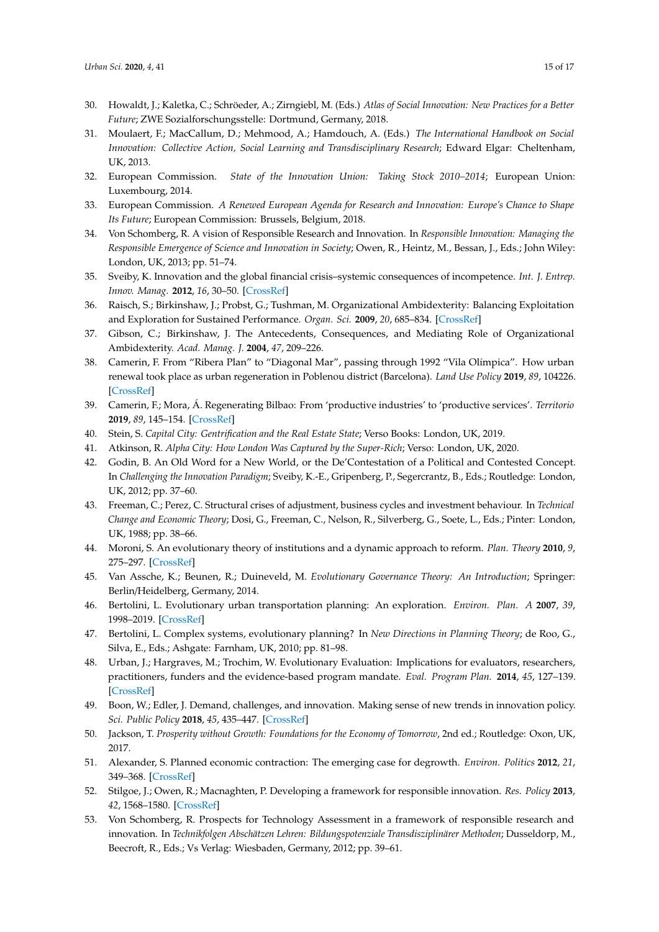- 30. Howaldt, J.; Kaletka, C.; Schröeder, A.; Zirngiebl, M. (Eds.) *Atlas of Social Innovation: New Practices for a Better Future*; ZWE Sozialforschungsstelle: Dortmund, Germany, 2018.
- <span id="page-14-0"></span>31. Moulaert, F.; MacCallum, D.; Mehmood, A.; Hamdouch, A. (Eds.) *The International Handbook on Social Innovation: Collective Action, Social Learning and Transdisciplinary Research*; Edward Elgar: Cheltenham, UK, 2013.
- <span id="page-14-1"></span>32. European Commission. *State of the Innovation Union: Taking Stock 2010–2014*; European Union: Luxembourg, 2014.
- <span id="page-14-2"></span>33. European Commission. *A Renewed European Agenda for Research and Innovation: Europe's Chance to Shape Its Future*; European Commission: Brussels, Belgium, 2018.
- <span id="page-14-3"></span>34. Von Schomberg, R. A vision of Responsible Research and Innovation. In *Responsible Innovation: Managing the Responsible Emergence of Science and Innovation in Society*; Owen, R., Heintz, M., Bessan, J., Eds.; John Wiley: London, UK, 2013; pp. 51–74.
- <span id="page-14-4"></span>35. Sveiby, K. Innovation and the global financial crisis–systemic consequences of incompetence. *Int. J. Entrep. Innov. Manag.* **2012**, *16*, 30–50. [\[CrossRef\]](http://dx.doi.org/10.1504/IJEIM.2012.050442)
- <span id="page-14-5"></span>36. Raisch, S.; Birkinshaw, J.; Probst, G.; Tushman, M. Organizational Ambidexterity: Balancing Exploitation and Exploration for Sustained Performance. *Organ. Sci.* **2009**, *20*, 685–834. [\[CrossRef\]](http://dx.doi.org/10.1287/orsc.1090.0428)
- <span id="page-14-6"></span>37. Gibson, C.; Birkinshaw, J. The Antecedents, Consequences, and Mediating Role of Organizational Ambidexterity. *Acad. Manag. J.* **2004**, *47*, 209–226.
- <span id="page-14-7"></span>38. Camerin, F. From "Ribera Plan" to "Diagonal Mar", passing through 1992 "Vila Olímpica". How urban renewal took place as urban regeneration in Poblenou district (Barcelona). *Land Use Policy* **2019**, *89*, 104226. [\[CrossRef\]](http://dx.doi.org/10.1016/j.landusepol.2019.104226)
- <span id="page-14-18"></span>39. Camerin, F.; Mora, Á. Regenerating Bilbao: From 'productive industries' to 'productive services'. *Territorio* **2019**, *89*, 145–154. [\[CrossRef\]](http://dx.doi.org/10.3280/TR2019-089019)
- <span id="page-14-19"></span>40. Stein, S. *Capital City: Gentrification and the Real Estate State*; Verso Books: London, UK, 2019.
- <span id="page-14-8"></span>41. Atkinson, R. *Alpha City: How London Was Captured by the Super-Rich*; Verso: London, UK, 2020.
- <span id="page-14-9"></span>42. Godin, B. An Old Word for a New World, or the De'Contestation of a Political and Contested Concept. In *Challenging the Innovation Paradigm*; Sveiby, K.-E., Gripenberg, P., Segercrantz, B., Eds.; Routledge: London, UK, 2012; pp. 37–60.
- <span id="page-14-10"></span>43. Freeman, C.; Perez, C. Structural crises of adjustment, business cycles and investment behaviour. In *Technical Change and Economic Theory*; Dosi, G., Freeman, C., Nelson, R., Silverberg, G., Soete, L., Eds.; Pinter: London, UK, 1988; pp. 38–66.
- <span id="page-14-11"></span>44. Moroni, S. An evolutionary theory of institutions and a dynamic approach to reform. *Plan. Theory* **2010**, *9*, 275–297. [\[CrossRef\]](http://dx.doi.org/10.1177/1473095210368778)
- <span id="page-14-22"></span>45. Van Assche, K.; Beunen, R.; Duineveld, M. *Evolutionary Governance Theory: An Introduction*; Springer: Berlin/Heidelberg, Germany, 2014.
- <span id="page-14-20"></span>46. Bertolini, L. Evolutionary urban transportation planning: An exploration. *Environ. Plan. A* **2007**, *39*, 1998–2019. [\[CrossRef\]](http://dx.doi.org/10.1068/a38350)
- <span id="page-14-21"></span>47. Bertolini, L. Complex systems, evolutionary planning? In *New Directions in Planning Theory*; de Roo, G., Silva, E., Eds.; Ashgate: Farnham, UK, 2010; pp. 81–98.
- <span id="page-14-12"></span>48. Urban, J.; Hargraves, M.; Trochim, W. Evolutionary Evaluation: Implications for evaluators, researchers, practitioners, funders and the evidence-based program mandate. *Eval. Program Plan.* **2014**, *45*, 127–139. [\[CrossRef\]](http://dx.doi.org/10.1016/j.evalprogplan.2014.03.011)
- <span id="page-14-13"></span>49. Boon, W.; Edler, J. Demand, challenges, and innovation. Making sense of new trends in innovation policy. *Sci. Public Policy* **2018**, *45*, 435–447. [\[CrossRef\]](http://dx.doi.org/10.1093/scipol/scy014)
- <span id="page-14-14"></span>50. Jackson, T. *Prosperity without Growth: Foundations for the Economy of Tomorrow*, 2nd ed.; Routledge: Oxon, UK, 2017.
- <span id="page-14-15"></span>51. Alexander, S. Planned economic contraction: The emerging case for degrowth. *Environ. Politics* **2012**, *21*, 349–368. [\[CrossRef\]](http://dx.doi.org/10.1080/09644016.2012.671569)
- <span id="page-14-16"></span>52. Stilgoe, J.; Owen, R.; Macnaghten, P. Developing a framework for responsible innovation. *Res. Policy* **2013**, *42*, 1568–1580. [\[CrossRef\]](http://dx.doi.org/10.1016/j.respol.2013.05.008)
- <span id="page-14-17"></span>53. Von Schomberg, R. Prospects for Technology Assessment in a framework of responsible research and innovation. In *Technikfolgen Abschätzen Lehren: Bildungspotenziale Transdisziplinärer Methoden*; Dusseldorp, M., Beecroft, R., Eds.; Vs Verlag: Wiesbaden, Germany, 2012; pp. 39–61.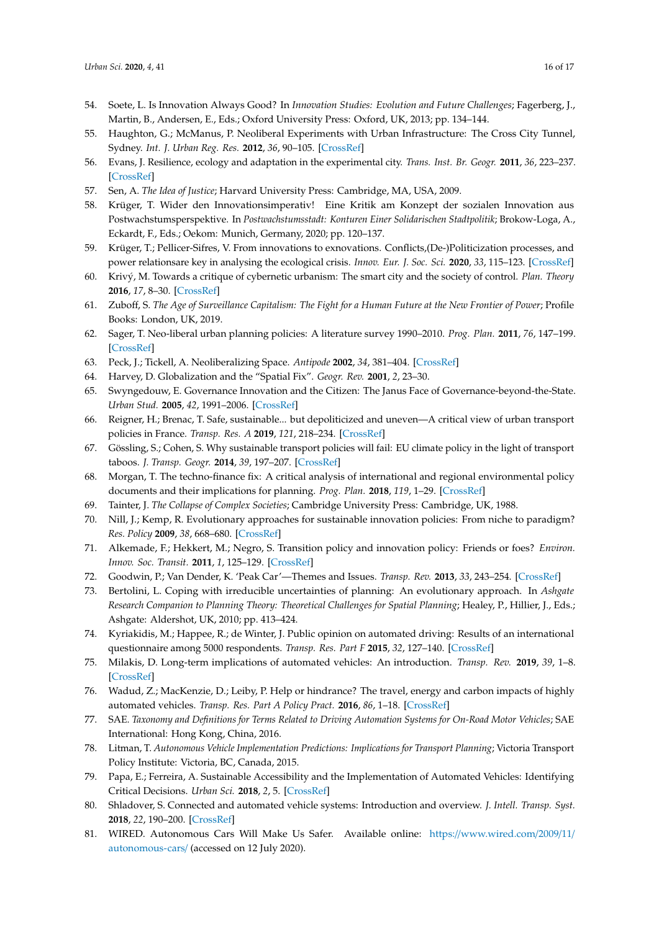- <span id="page-15-0"></span>54. Soete, L. Is Innovation Always Good? In *Innovation Studies: Evolution and Future Challenges*; Fagerberg, J., Martin, B., Andersen, E., Eds.; Oxford University Press: Oxford, UK, 2013; pp. 134–144.
- <span id="page-15-1"></span>55. Haughton, G.; McManus, P. Neoliberal Experiments with Urban Infrastructure: The Cross City Tunnel, Sydney. *Int. J. Urban Reg. Res.* **2012**, *36*, 90–105. [\[CrossRef\]](http://dx.doi.org/10.1111/j.1468-2427.2011.01019.x)
- <span id="page-15-2"></span>56. Evans, J. Resilience, ecology and adaptation in the experimental city. *Trans. Inst. Br. Geogr.* **2011**, *36*, 223–237. [\[CrossRef\]](http://dx.doi.org/10.1111/j.1475-5661.2010.00420.x)
- <span id="page-15-3"></span>57. Sen, A. *The Idea of Justice*; Harvard University Press: Cambridge, MA, USA, 2009.
- <span id="page-15-4"></span>58. Krüger, T. Wider den Innovationsimperativ! Eine Kritik am Konzept der sozialen Innovation aus Postwachstumsperspektive. In *Postwachstumsstadt: Konturen Einer Solidarischen Stadtpolitik*; Brokow-Loga, A., Eckardt, F., Eds.; Oekom: Munich, Germany, 2020; pp. 120–137.
- <span id="page-15-5"></span>59. Krüger, T.; Pellicer-Sifres, V. From innovations to exnovations. Conflicts,(De-)Politicization processes, and power relationsare key in analysing the ecological crisis. *Innov. Eur. J. Soc. Sci.* **2020**, *33*, 115–123. [\[CrossRef\]](http://dx.doi.org/10.1080/13511610.2020.1733936)
- <span id="page-15-6"></span>60. Krivý, M. Towards a critique of cybernetic urbanism: The smart city and the society of control. *Plan. Theory* **2016**, *17*, 8–30. [\[CrossRef\]](http://dx.doi.org/10.1177/1473095216645631)
- <span id="page-15-7"></span>61. Zuboff, S. *The Age of Surveillance Capitalism: The Fight for a Human Future at the New Frontier of Power*; Profile Books: London, UK, 2019.
- <span id="page-15-8"></span>62. Sager, T. Neo-liberal urban planning policies: A literature survey 1990–2010. *Prog. Plan.* **2011**, *76*, 147–199. [\[CrossRef\]](http://dx.doi.org/10.1016/j.progress.2011.09.001)
- 63. Peck, J.; Tickell, A. Neoliberalizing Space. *Antipode* **2002**, *34*, 381–404. [\[CrossRef\]](http://dx.doi.org/10.1111/1467-8330.00247)
- 64. Harvey, D. Globalization and the "Spatial Fix". *Geogr. Rev.* **2001**, *2*, 23–30.
- <span id="page-15-9"></span>65. Swyngedouw, E. Governance Innovation and the Citizen: The Janus Face of Governance-beyond-the-State. *Urban Stud.* **2005**, *42*, 1991–2006. [\[CrossRef\]](http://dx.doi.org/10.1080/00420980500279869)
- <span id="page-15-10"></span>66. Reigner, H.; Brenac, T. Safe, sustainable... but depoliticized and uneven—A critical view of urban transport policies in France. *Transp. Res. A* **2019**, *121*, 218–234. [\[CrossRef\]](http://dx.doi.org/10.1016/j.tra.2019.01.023)
- <span id="page-15-11"></span>67. Gössling, S.; Cohen, S. Why sustainable transport policies will fail: EU climate policy in the light of transport taboos. *J. Transp. Geogr.* **2014**, *39*, 197–207. [\[CrossRef\]](http://dx.doi.org/10.1016/j.jtrangeo.2014.07.010)
- <span id="page-15-12"></span>68. Morgan, T. The techno-finance fix: A critical analysis of international and regional environmental policy documents and their implications for planning. *Prog. Plan.* **2018**, *119*, 1–29. [\[CrossRef\]](http://dx.doi.org/10.1016/j.progress.2016.06.001)
- <span id="page-15-14"></span><span id="page-15-13"></span>69. Tainter, J. *The Collapse of Complex Societies*; Cambridge University Press: Cambridge, UK, 1988.
- 70. Nill, J.; Kemp, R. Evolutionary approaches for sustainable innovation policies: From niche to paradigm? *Res. Policy* **2009**, *38*, 668–680. [\[CrossRef\]](http://dx.doi.org/10.1016/j.respol.2009.01.011)
- <span id="page-15-15"></span>71. Alkemade, F.; Hekkert, M.; Negro, S. Transition policy and innovation policy: Friends or foes? *Environ. Innov. Soc. Transit.* **2011**, *1*, 125–129. [\[CrossRef\]](http://dx.doi.org/10.1016/j.eist.2011.04.009)
- <span id="page-15-16"></span>72. Goodwin, P.; Van Dender, K. 'Peak Car'—Themes and Issues. *Transp. Rev.* **2013**, *33*, 243–254. [\[CrossRef\]](http://dx.doi.org/10.1080/01441647.2013.804133)
- <span id="page-15-17"></span>73. Bertolini, L. Coping with irreducible uncertainties of planning: An evolutionary approach. In *Ashgate Research Companion to Planning Theory: Theoretical Challenges for Spatial Planning*; Healey, P., Hillier, J., Eds.; Ashgate: Aldershot, UK, 2010; pp. 413–424.
- <span id="page-15-18"></span>74. Kyriakidis, M.; Happee, R.; de Winter, J. Public opinion on automated driving: Results of an international questionnaire among 5000 respondents. *Transp. Res. Part F* **2015**, *32*, 127–140. [\[CrossRef\]](http://dx.doi.org/10.1016/j.trf.2015.04.014)
- <span id="page-15-25"></span>75. Milakis, D. Long-term implications of automated vehicles: An introduction. *Transp. Rev.* **2019**, *39*, 1–8. [\[CrossRef\]](http://dx.doi.org/10.1080/01441647.2019.1545286)
- <span id="page-15-19"></span>76. Wadud, Z.; MacKenzie, D.; Leiby, P. Help or hindrance? The travel, energy and carbon impacts of highly automated vehicles. *Transp. Res. Part A Policy Pract.* **2016**, *86*, 1–18. [\[CrossRef\]](http://dx.doi.org/10.1016/j.tra.2015.12.001)
- <span id="page-15-20"></span>77. SAE. *Taxonomy and Definitions for Terms Related to Driving Automation Systems for On-Road Motor Vehicles*; SAE International: Hong Kong, China, 2016.
- <span id="page-15-21"></span>78. Litman, T. *Autonomous Vehicle Implementation Predictions: Implications for Transport Planning*; Victoria Transport Policy Institute: Victoria, BC, Canada, 2015.
- <span id="page-15-22"></span>79. Papa, E.; Ferreira, A. Sustainable Accessibility and the Implementation of Automated Vehicles: Identifying Critical Decisions. *Urban Sci.* **2018**, *2*, 5. [\[CrossRef\]](http://dx.doi.org/10.3390/urbansci2010005)
- <span id="page-15-23"></span>80. Shladover, S. Connected and automated vehicle systems: Introduction and overview. *J. Intell. Transp. Syst.* **2018**, *22*, 190–200. [\[CrossRef\]](http://dx.doi.org/10.1080/15472450.2017.1336053)
- <span id="page-15-24"></span>81. WIRED. Autonomous Cars Will Make Us Safer. Available online: https://[www.wired.com](https://www.wired.com/2009/11/autonomous-cars/)/2009/11/ [autonomous-cars](https://www.wired.com/2009/11/autonomous-cars/)/ (accessed on 12 July 2020).